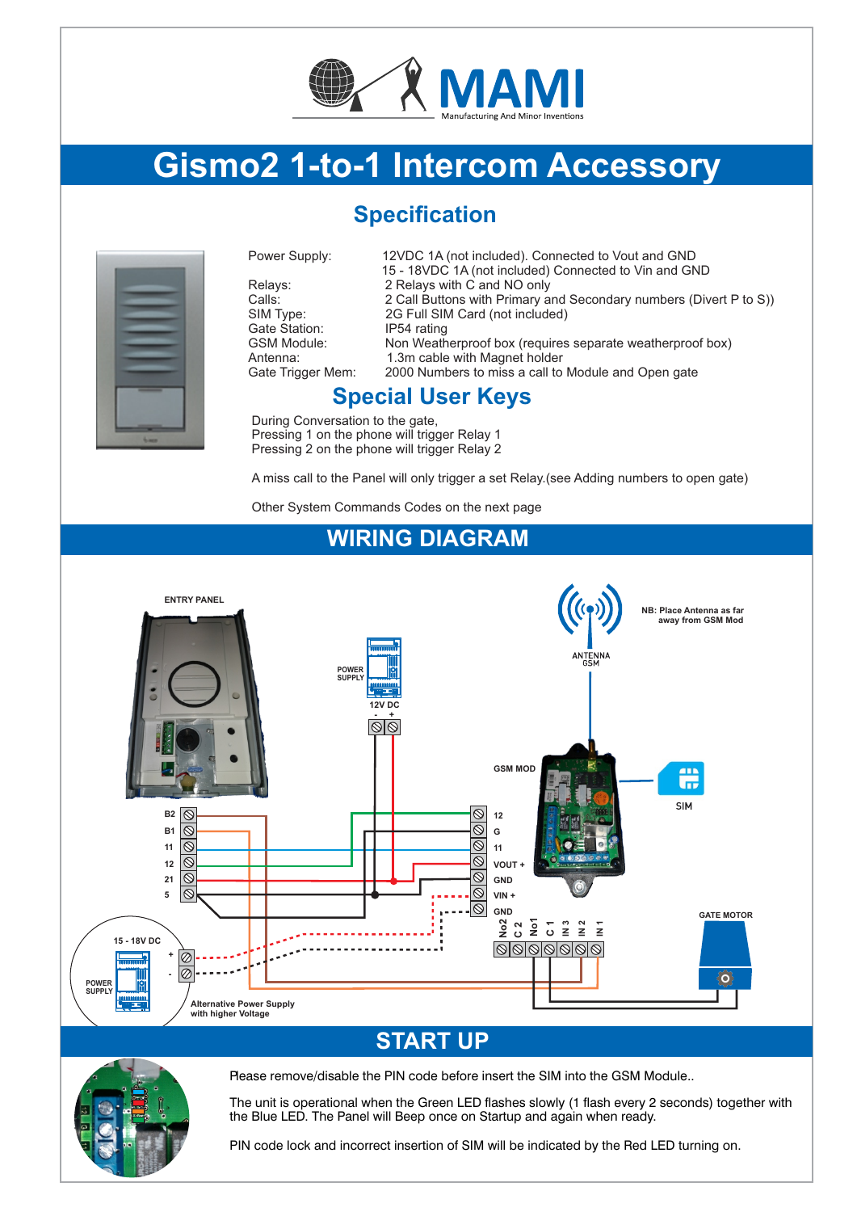

# **Gismo2 1-to-1 Intercom Accessory**

# **Specification**



Gate Station:<br>GSM Module:

Power Supply: 12VDC 1A (not included). Connected to Vout and GND 15 - 18VDC 1A (not included) Connected to Vin and GND Relays: 2 Relays with C and NO only<br>Calls: 2 Call Buttons with Primary a Calls: 2 Call Buttons with Primary and Secondary numbers (Divert P to S))<br>SIM Type: 2G Full SIM Card (not included) 2G Full SIM Card (not included)<br>IP54 rating Non Weatherproof box (requires separate weatherproof box) Antenna: 1.3m cable with Magnet holder<br>Gate Trigger Mem: 2000 Numbers to miss a call to 2000 Numbers to miss a call to Module and Open gate

## **Special User Keys**

During Conversation to the gate, Pressing 1 on the phone will trigger Relay 1 Pressing 2 on the phone will trigger Relay 2

A miss call to the Panel will only trigger a set Relay.(see Adding numbers to open gate)

Other System Commands Codes on the next page

### **WIRING DIAGRAM**



## **START UP**



Please remove/disable the PIN code before insert the SIM into the GSM Module..

The unit is operational when the Green LED flashes slowly (1 flash every 2 seconds) together with the Blue LED. The Panel will Beep once on Startup and again when ready.

PIN code lock and incorrect insertion of SIM will be indicated by the Red LED turning on.